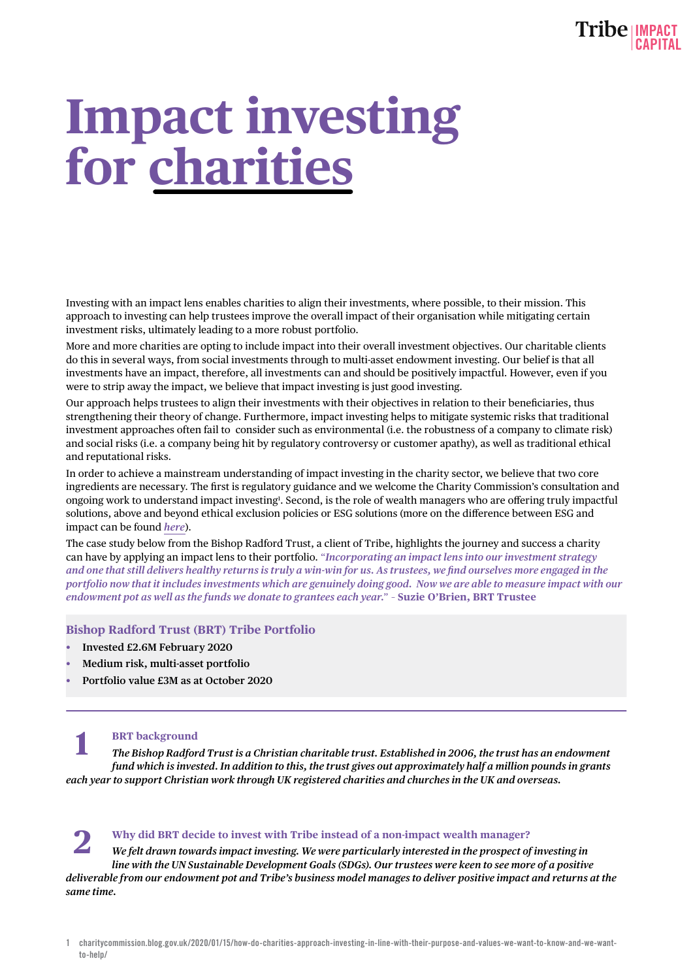# **Impact investing for charities**

Investing with an impact lens enables charities to align their investments, where possible, to their mission. This approach to investing can help trustees improve the overall impact of their organisation while mitigating certain investment risks, ultimately leading to a more robust portfolio.

More and more charities are opting to include impact into their overall investment objectives. Our charitable clients do this in several ways, from social investments through to multi-asset endowment investing. Our belief is that all investments have an impact, therefore, all investments can and should be positively impactful. However, even if you were to strip away the impact, we believe that impact investing is just good investing.

Our approach helps trustees to align their investments with their objectives in relation to their beneficiaries, thus strengthening their theory of change. Furthermore, impact investing helps to mitigate systemic risks that traditional investment approaches often fail to consider such as environmental (i.e. the robustness of a company to climate risk) and social risks (i.e. a company being hit by regulatory controversy or customer apathy), as well as traditional ethical and reputational risks.

In order to achieve a mainstream understanding of impact investing in the charity sector, we believe that two core ingredients are necessary. The first is regulatory guidance and we welcome the Charity Commission's consultation and ongoing work to understand impact investing<sup>1</sup>. Second, is the role of wealth managers who are offering truly impactful solutions, above and beyond ethical exclusion policies or ESG solutions (more on the difference between ESG and impact can be found *[here](https://tribeimpactcapital.com/the-difference-between-esg-and-impact/)*).

The case study below from the Bishop Radford Trust, a client of Tribe, highlights the journey and success a charity can have by applying an impact lens to their portfolio. "*Incorporating an impact lens into our investment strategy and one that still delivers healthy returns is truly a win-win for us. As trustees, we find ourselves more engaged in the portfolio now that it includes investments which are genuinely doing good. Now we are able to measure impact with our endowment pot as well as the funds we donate to grantees each year.*" – **Suzie O'Brien, BRT Trustee**

## **Bishop Radford Trust (BRT) Tribe Portfolio**

- **• Invested £2.6M February 2020**
- **• Medium risk, multi-asset portfolio**
- **• Portfolio value £3M as at October 2020**

## **BRT background**

*The Bishop Radford Trust is a Christian charitable trust. Established in 2006, the trust has an endowment fund which is invested. In addition to this, the trust gives out approximately half a million pounds in grants each year to support Christian work through UK registered charities and churches in the UK and overseas.*  **1**

#### **Why did BRT decide to invest with Tribe instead of a non-impact wealth manager? 2**

*We felt drawn towards impact investing. We were particularly interested in the prospect of investing in line with the UN Sustainable Development Goals (SDGs). Our trustees were keen to see more of a positive deliverable from our endowment pot and Tribe's business model manages to deliver positive impact and returns at the same time.* 

<sup>1</sup> [charitycommission.blog.gov.uk/2020/01/15/how-do-charities-approach-investing-in-line-with-their-purpose-and-values-we-want-to-know-and-we-want](https://charitycommission.blog.gov.uk/2020/01/15/how-do-charities-approach-investing-in-line-with-their-purpose-and-values-we-want-to-know-and-we-want-to-help/)[to-help/](https://charitycommission.blog.gov.uk/2020/01/15/how-do-charities-approach-investing-in-line-with-their-purpose-and-values-we-want-to-know-and-we-want-to-help/)